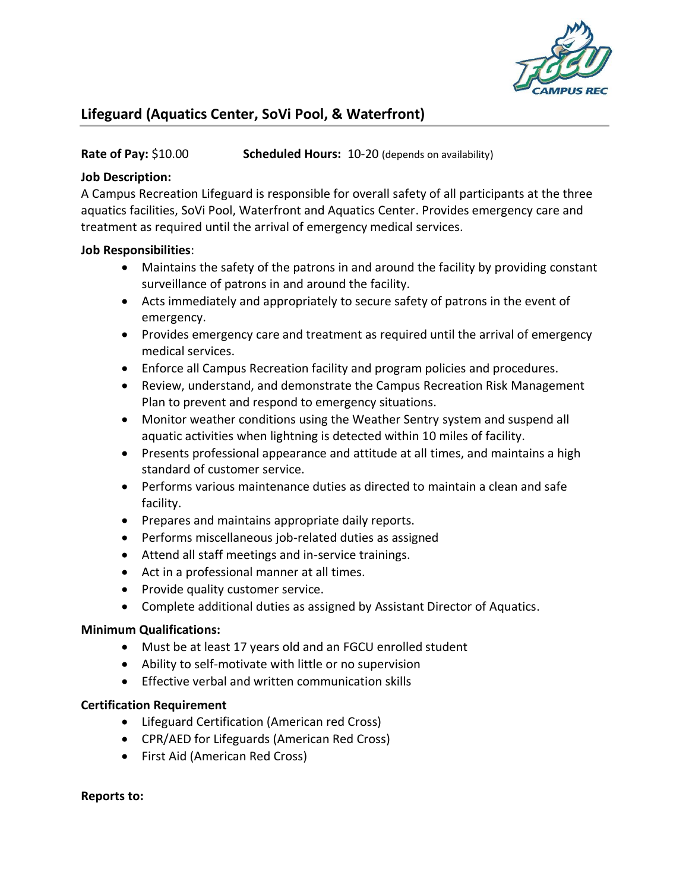

# **Lifeguard (Aquatics Center, SoVi Pool, & Waterfront)**

## **Rate of Pay:** \$10.00 **Scheduled Hours:** 10-20 (depends on availability)

## **Job Description:**

A Campus Recreation Lifeguard is responsible for overall safety of all participants at the three aquatics facilities, SoVi Pool, Waterfront and Aquatics Center. Provides emergency care and treatment as required until the arrival of emergency medical services.

## **Job Responsibilities**:

- Maintains the safety of the patrons in and around the facility by providing constant surveillance of patrons in and around the facility.
- Acts immediately and appropriately to secure safety of patrons in the event of emergency.
- Provides emergency care and treatment as required until the arrival of emergency medical services.
- Enforce all Campus Recreation facility and program policies and procedures.
- Review, understand, and demonstrate the Campus Recreation Risk Management Plan to prevent and respond to emergency situations.
- Monitor weather conditions using the Weather Sentry system and suspend all aquatic activities when lightning is detected within 10 miles of facility.
- Presents professional appearance and attitude at all times, and maintains a high standard of customer service.
- Performs various maintenance duties as directed to maintain a clean and safe facility.
- Prepares and maintains appropriate daily reports.
- Performs miscellaneous job-related duties as assigned
- Attend all staff meetings and in-service trainings.
- Act in a professional manner at all times.
- Provide quality customer service.
- Complete additional duties as assigned by Assistant Director of Aquatics.

#### **Minimum Qualifications:**

- Must be at least 17 years old and an FGCU enrolled student
- Ability to self-motivate with little or no supervision
- Effective verbal and written communication skills

#### **Certification Requirement**

- Lifeguard Certification (American red Cross)
- CPR/AED for Lifeguards (American Red Cross)
- First Aid (American Red Cross)

#### **Reports to:**